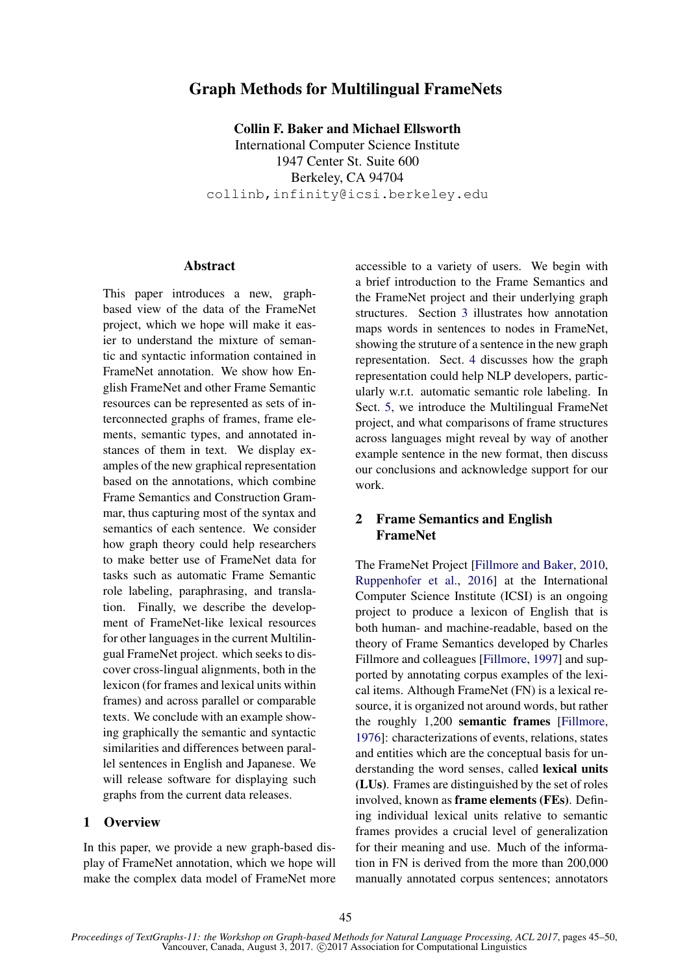# Graph Methods for Multilingual FrameNets

Collin F. Baker and Michael Ellsworth International Computer Science Institute 1947 Center St. Suite 600 Berkeley, CA 94704 collinb,infinity@icsi.berkeley.edu

### **Abstract**

This paper introduces a new, graphbased view of the data of the FrameNet project, which we hope will make it easier to understand the mixture of semantic and syntactic information contained in FrameNet annotation. We show how English FrameNet and other Frame Semantic resources can be represented as sets of interconnected graphs of frames, frame elements, semantic types, and annotated instances of them in text. We display examples of the new graphical representation based on the annotations, which combine Frame Semantics and Construction Grammar, thus capturing most of the syntax and semantics of each sentence. We consider how graph theory could help researchers to make better use of FrameNet data for tasks such as automatic Frame Semantic role labeling, paraphrasing, and translation. Finally, we describe the development of FrameNet-like lexical resources for other languages in the current Multilingual FrameNet project. which seeks to discover cross-lingual alignments, both in the lexicon (for frames and lexical units within frames) and across parallel or comparable texts. We conclude with an example showing graphically the semantic and syntactic similarities and differences between parallel sentences in English and Japanese. We will release software for displaying such graphs from the current data releases.

### 1 Overview

In this paper, we provide a new graph-based display of FrameNet annotation, which we hope will make the complex data model of FrameNet more

accessible to a variety of users. We begin with a brief introduction to the Frame Semantics and the FrameNet project and their underlying graph structures. Section 3 illustrates how annotation maps words in sentences to nodes in FrameNet, showing the struture of a sentence in the new graph representation. Sect. 4 discusses how the graph representation could help NLP developers, particularly w.r.t. automatic semantic role labeling. In Sect. 5, we introduce the Multilingual FrameNet project, and what comparisons of frame structures across languages might reveal by way of another example sentence in the new format, then discuss our conclusions and acknowledge support for our work.

## 2 Frame Semantics and English FrameNet

The FrameNet Project [Fillmore and Baker, 2010, Ruppenhofer et al., 2016] at the International Computer Science Institute (ICSI) is an ongoing project to produce a lexicon of English that is both human- and machine-readable, based on the theory of Frame Semantics developed by Charles Fillmore and colleagues [Fillmore, 1997] and supported by annotating corpus examples of the lexical items. Although FrameNet (FN) is a lexical resource, it is organized not around words, but rather the roughly 1,200 semantic frames [Fillmore, 1976]: characterizations of events, relations, states and entities which are the conceptual basis for understanding the word senses, called lexical units (LUs). Frames are distinguished by the set of roles involved, known as frame elements (FEs). Defining individual lexical units relative to semantic frames provides a crucial level of generalization for their meaning and use. Much of the information in FN is derived from the more than 200,000 manually annotated corpus sentences; annotators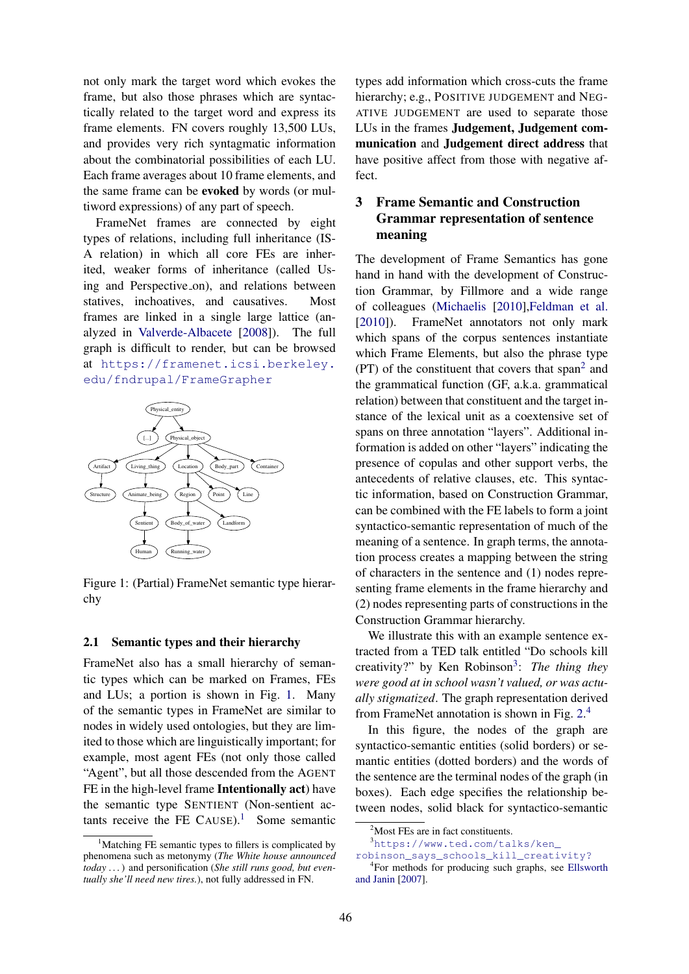not only mark the target word which evokes the frame, but also those phrases which are syntactically related to the target word and express its frame elements. FN covers roughly 13,500 LUs, and provides very rich syntagmatic information about the combinatorial possibilities of each LU. Each frame averages about 10 frame elements, and the same frame can be evoked by words (or multiword expressions) of any part of speech.

FrameNet frames are connected by eight types of relations, including full inheritance (IS-A relation) in which all core FEs are inherited, weaker forms of inheritance (called Using and Perspective on), and relations between statives, inchoatives, and causatives. Most frames are linked in a single large lattice (analyzed in Valverde-Albacete [2008]). The full graph is difficult to render, but can be browsed at https://framenet.icsi.berkeley. edu/fndrupal/FrameGrapher



Figure 1: (Partial) FrameNet semantic type hierarchy

#### 2.1 Semantic types and their hierarchy

FrameNet also has a small hierarchy of semantic types which can be marked on Frames, FEs and LUs; a portion is shown in Fig. 1. Many of the semantic types in FrameNet are similar to nodes in widely used ontologies, but they are limited to those which are linguistically important; for example, most agent FEs (not only those called "Agent", but all those descended from the AGENT FE in the high-level frame Intentionally act) have the semantic type SENTIENT (Non-sentient actants receive the FE CAUSE).<sup>1</sup> Some semantic types add information which cross-cuts the frame hierarchy; e.g., POSITIVE JUDGEMENT and NEG-ATIVE JUDGEMENT are used to separate those LUs in the frames Judgement, Judgement communication and Judgement direct address that have positive affect from those with negative affect.

# 3 Frame Semantic and Construction Grammar representation of sentence meaning

The development of Frame Semantics has gone hand in hand with the development of Construction Grammar, by Fillmore and a wide range of colleagues (Michaelis [2010],Feldman et al. [2010]). FrameNet annotators not only mark which spans of the corpus sentences instantiate which Frame Elements, but also the phrase type  $(PT)$  of the constituent that covers that span<sup>2</sup> and the grammatical function (GF, a.k.a. grammatical relation) between that constituent and the target instance of the lexical unit as a coextensive set of spans on three annotation "layers". Additional information is added on other "layers" indicating the presence of copulas and other support verbs, the antecedents of relative clauses, etc. This syntactic information, based on Construction Grammar, can be combined with the FE labels to form a joint syntactico-semantic representation of much of the meaning of a sentence. In graph terms, the annotation process creates a mapping between the string of characters in the sentence and (1) nodes representing frame elements in the frame hierarchy and (2) nodes representing parts of constructions in the Construction Grammar hierarchy.

We illustrate this with an example sentence extracted from a TED talk entitled "Do schools kill creativity?" by Ken Robinson<sup>3</sup>: The thing they *were good at in school wasn't valued, or was actually stigmatized*. The graph representation derived from FrameNet annotation is shown in Fig. 2.<sup>4</sup>

In this figure, the nodes of the graph are syntactico-semantic entities (solid borders) or semantic entities (dotted borders) and the words of the sentence are the terminal nodes of the graph (in boxes). Each edge specifies the relationship between nodes, solid black for syntactico-semantic

<sup>3</sup>https://www.ted.com/talks/ken\_

 $<sup>1</sup>$ Matching FE semantic types to fillers is complicated by</sup> phenomena such as metonymy (*The White house announced today . . .*) and personification (*She still runs good, but eventually she'll need new tires.*), not fully addressed in FN.

 $2$ Most FEs are in fact constituents.

robinson\_says\_schools\_kill\_creativity?

<sup>4</sup> For methods for producing such graphs, see Ellsworth and Janin [2007].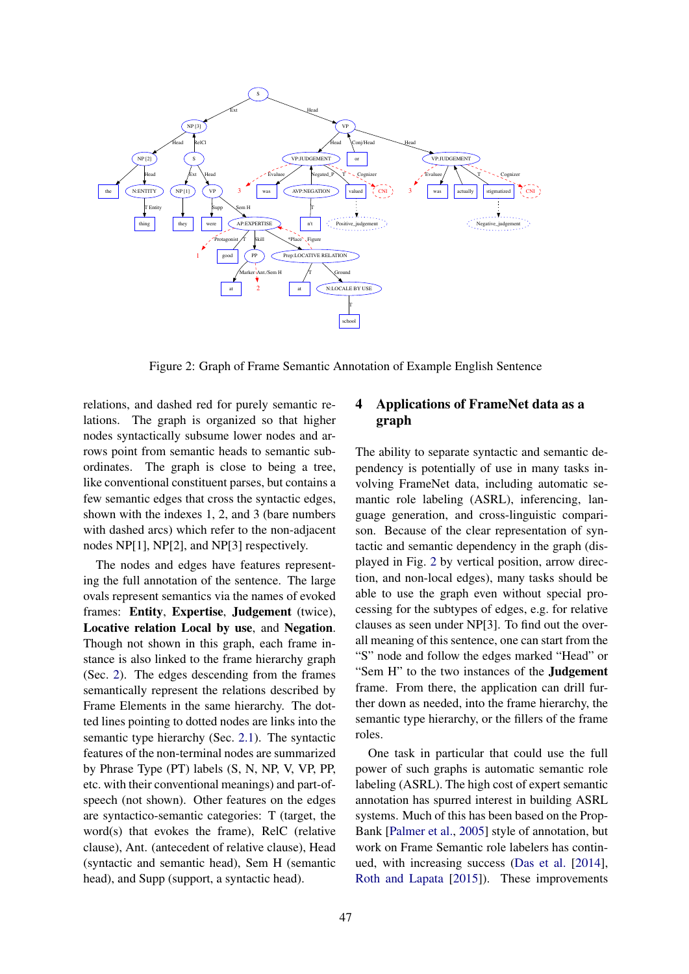

Figure 2: Graph of Frame Semantic Annotation of Example English Sentence

relations, and dashed red for purely semantic relations. The graph is organized so that higher nodes syntactically subsume lower nodes and arrows point from semantic heads to semantic subordinates. The graph is close to being a tree, like conventional constituent parses, but contains a few semantic edges that cross the syntactic edges, shown with the indexes 1, 2, and 3 (bare numbers with dashed arcs) which refer to the non-adjacent nodes NP[1], NP[2], and NP[3] respectively.

The nodes and edges have features representing the full annotation of the sentence. The large ovals represent semantics via the names of evoked frames: Entity, Expertise, Judgement (twice), Locative relation Local by use, and Negation. Though not shown in this graph, each frame instance is also linked to the frame hierarchy graph (Sec. 2). The edges descending from the frames semantically represent the relations described by Frame Elements in the same hierarchy. The dotted lines pointing to dotted nodes are links into the semantic type hierarchy (Sec. 2.1). The syntactic features of the non-terminal nodes are summarized by Phrase Type (PT) labels (S, N, NP, V, VP, PP, etc. with their conventional meanings) and part-ofspeech (not shown). Other features on the edges are syntactico-semantic categories: T (target, the word(s) that evokes the frame), RelC (relative clause), Ant. (antecedent of relative clause), Head (syntactic and semantic head), Sem H (semantic head), and Supp (support, a syntactic head).

## 4 Applications of FrameNet data as a graph

The ability to separate syntactic and semantic dependency is potentially of use in many tasks involving FrameNet data, including automatic semantic role labeling (ASRL), inferencing, language generation, and cross-linguistic comparison. Because of the clear representation of syntactic and semantic dependency in the graph (displayed in Fig. 2 by vertical position, arrow direction, and non-local edges), many tasks should be able to use the graph even without special processing for the subtypes of edges, e.g. for relative clauses as seen under NP[3]. To find out the overall meaning of this sentence, one can start from the "S" node and follow the edges marked "Head" or "Sem H" to the two instances of the **Judgement** frame. From there, the application can drill further down as needed, into the frame hierarchy, the semantic type hierarchy, or the fillers of the frame roles.

One task in particular that could use the full power of such graphs is automatic semantic role labeling (ASRL). The high cost of expert semantic annotation has spurred interest in building ASRL systems. Much of this has been based on the Prop-Bank [Palmer et al., 2005] style of annotation, but work on Frame Semantic role labelers has continued, with increasing success (Das et al. [2014], Roth and Lapata [2015]). These improvements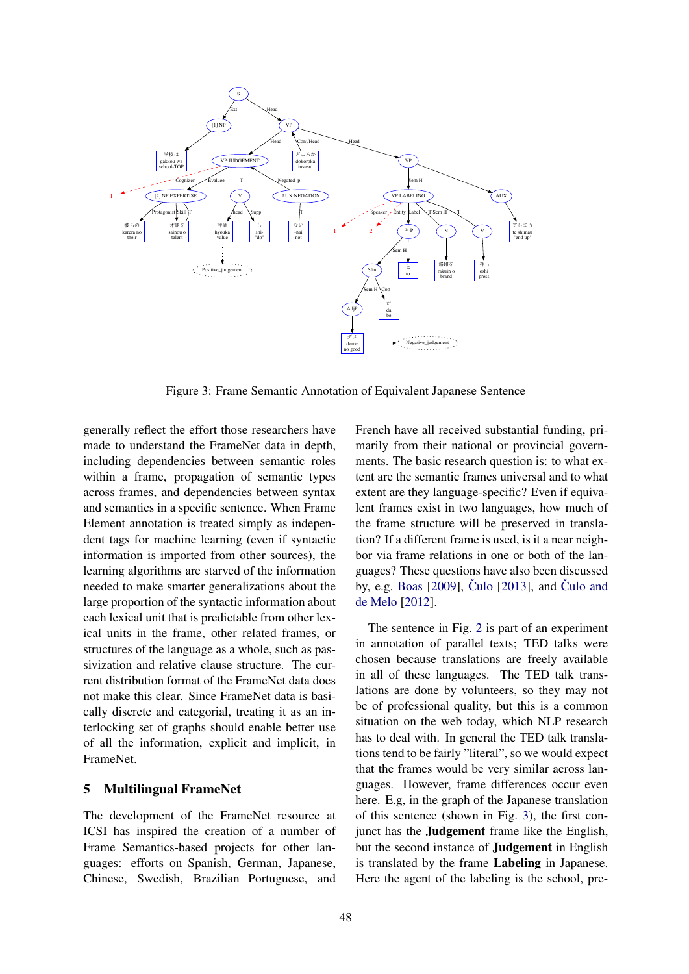

Figure 3: Frame Semantic Annotation of Equivalent Japanese Sentence

generally reflect the effort those researchers have made to understand the FrameNet data in depth, including dependencies between semantic roles within a frame, propagation of semantic types across frames, and dependencies between syntax and semantics in a specific sentence. When Frame Element annotation is treated simply as independent tags for machine learning (even if syntactic information is imported from other sources), the learning algorithms are starved of the information needed to make smarter generalizations about the large proportion of the syntactic information about each lexical unit that is predictable from other lexical units in the frame, other related frames, or structures of the language as a whole, such as passivization and relative clause structure. The current distribution format of the FrameNet data does not make this clear. Since FrameNet data is basically discrete and categorial, treating it as an interlocking set of graphs should enable better use of all the information, explicit and implicit, in FrameNet.

### 5 Multilingual FrameNet

The development of the FrameNet resource at ICSI has inspired the creation of a number of Frame Semantics-based projects for other languages: efforts on Spanish, German, Japanese, Chinese, Swedish, Brazilian Portuguese, and

French have all received substantial funding, primarily from their national or provincial governments. The basic research question is: to what extent are the semantic frames universal and to what extent are they language-specific? Even if equivalent frames exist in two languages, how much of the frame structure will be preserved in translation? If a different frame is used, is it a near neighbor via frame relations in one or both of the languages? These questions have also been discussed by, e.g. Boas  $[2009]$ , Čulo  $[2013]$ , and Čulo and de Melo [2012].

The sentence in Fig. 2 is part of an experiment in annotation of parallel texts; TED talks were chosen because translations are freely available in all of these languages. The TED talk translations are done by volunteers, so they may not be of professional quality, but this is a common situation on the web today, which NLP research has to deal with. In general the TED talk translations tend to be fairly "literal", so we would expect that the frames would be very similar across languages. However, frame differences occur even here. E.g, in the graph of the Japanese translation of this sentence (shown in Fig. 3), the first conjunct has the Judgement frame like the English, but the second instance of Judgement in English is translated by the frame Labeling in Japanese. Here the agent of the labeling is the school, pre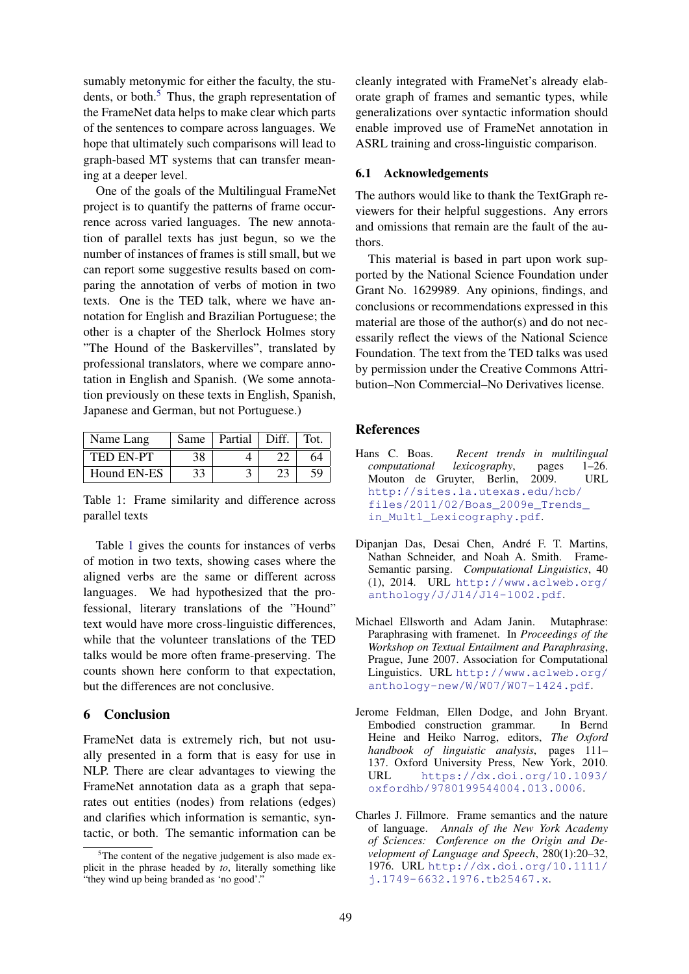sumably metonymic for either the faculty, the students, or both.<sup>5</sup> Thus, the graph representation of the FrameNet data helps to make clear which parts of the sentences to compare across languages. We hope that ultimately such comparisons will lead to graph-based MT systems that can transfer meaning at a deeper level.

One of the goals of the Multilingual FrameNet project is to quantify the patterns of frame occurrence across varied languages. The new annotation of parallel texts has just begun, so we the number of instances of frames is still small, but we can report some suggestive results based on comparing the annotation of verbs of motion in two texts. One is the TED talk, where we have annotation for English and Brazilian Portuguese; the other is a chapter of the Sherlock Holmes story "The Hound of the Baskervilles", translated by professional translators, where we compare annotation in English and Spanish. (We some annotation previously on these texts in English, Spanish, Japanese and German, but not Portuguese.)

| Name Lang        | Same | Partial | Diff. | Tot. |
|------------------|------|---------|-------|------|
| <b>TED EN-PT</b> |      |         |       |      |
| Hound EN-ES      |      |         |       |      |

Table 1: Frame similarity and difference across parallel texts

Table 1 gives the counts for instances of verbs of motion in two texts, showing cases where the aligned verbs are the same or different across languages. We had hypothesized that the professional, literary translations of the "Hound" text would have more cross-linguistic differences, while that the volunteer translations of the TED talks would be more often frame-preserving. The counts shown here conform to that expectation, but the differences are not conclusive.

### 6 Conclusion

FrameNet data is extremely rich, but not usually presented in a form that is easy for use in NLP. There are clear advantages to viewing the FrameNet annotation data as a graph that separates out entities (nodes) from relations (edges) and clarifies which information is semantic, syntactic, or both. The semantic information can be cleanly integrated with FrameNet's already elaborate graph of frames and semantic types, while generalizations over syntactic information should enable improved use of FrameNet annotation in ASRL training and cross-linguistic comparison.

#### 6.1 Acknowledgements

The authors would like to thank the TextGraph reviewers for their helpful suggestions. Any errors and omissions that remain are the fault of the authors.

This material is based in part upon work supported by the National Science Foundation under Grant No. 1629989. Any opinions, findings, and conclusions or recommendations expressed in this material are those of the author(s) and do not necessarily reflect the views of the National Science Foundation. The text from the TED talks was used by permission under the Creative Commons Attribution–Non Commercial–No Derivatives license.

### References

- Hans C. Boas. *Recent trends in multilingual computational lexicography*, pages 1–26. Mouton de Gruyter, Berlin, 2009. http://sites.la.utexas.edu/hcb/ files/2011/02/Boas\_2009e\_Trends\_ in\_Multl\_Lexicography.pdf.
- Dipanjan Das, Desai Chen, André F. T. Martins, Nathan Schneider, and Noah A. Smith. Frame-Semantic parsing. *Computational Linguistics*, 40 (1), 2014. URL http://www.aclweb.org/ anthology/J/J14/J14-1002.pdf.
- Michael Ellsworth and Adam Janin. Mutaphrase: Paraphrasing with framenet. In *Proceedings of the Workshop on Textual Entailment and Paraphrasing*, Prague, June 2007. Association for Computational Linguistics. URL http://www.aclweb.org/ anthology-new/W/W07/W07-1424.pdf.
- Jerome Feldman, Ellen Dodge, and John Bryant. Embodied construction grammar. In Bernd Heine and Heiko Narrog, editors, *The Oxford handbook of linguistic analysis*, pages 111– 137. Oxford University Press, New York, 2010. URL https://dx.doi.org/10.1093/ oxfordhb/9780199544004.013.0006.
- Charles J. Fillmore. Frame semantics and the nature of language. *Annals of the New York Academy of Sciences: Conference on the Origin and Development of Language and Speech*, 280(1):20–32, 1976. URL http://dx.doi.org/10.1111/ j.1749-6632.1976.tb25467.x.

 $5$ The content of the negative judgement is also made explicit in the phrase headed by *to*, literally something like "they wind up being branded as 'no good'."